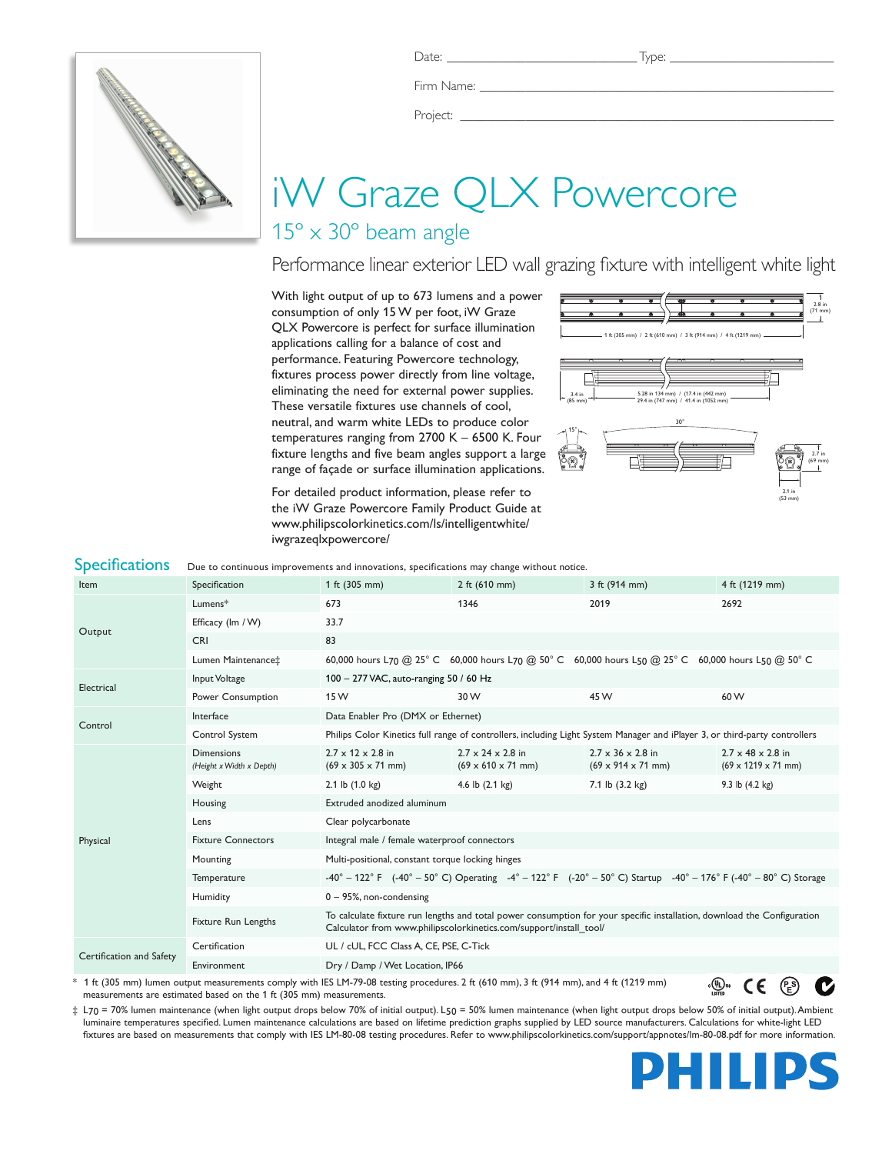

Firm Name:

Project: \_

# iW Graze QLX Powercore

## 15º x 30º beam angle

Performance linear exterior LED wall grazing fixture with intelligent white light

With light output of up to 673 lumens and a power consumption of only 15 W per foot, iW Graze QLX Powercore is perfect for surface illumination applications calling for a balance of cost and performance. Featuring Powercore technology, fixtures process power directly from line voltage, eliminating the need for external power supplies. These versatile fixtures use channels of cool, neutral, and warm white LEDs to produce color temperatures ranging from 2700 K – 6500 K. Four fixture lengths and five beam angles support a large range of façade or surface illumination applications.

For detailed product information, please refer to the iW Graze Powercore Family Product Guide at www.philipscolorkinetics.com/ls/intelligentwhite/ iwgrazeqlxpowercore/



| <b>Specifications</b>    |                                                                                                                                                                                                                                                                                                                                    | Due to continuous improvements and innovations, specifications may change without notice.                                                           |                                                                         |                                                                         |                                                                                                                         |  |  |
|--------------------------|------------------------------------------------------------------------------------------------------------------------------------------------------------------------------------------------------------------------------------------------------------------------------------------------------------------------------------|-----------------------------------------------------------------------------------------------------------------------------------------------------|-------------------------------------------------------------------------|-------------------------------------------------------------------------|-------------------------------------------------------------------------------------------------------------------------|--|--|
| Item                     | Specification                                                                                                                                                                                                                                                                                                                      | 1 ft (305 mm)                                                                                                                                       | 2 ft $(610 \, \text{mm})$                                               | 3 ft (914 mm)                                                           | 4 ft (1219 mm)                                                                                                          |  |  |
| Output                   | Lumens*                                                                                                                                                                                                                                                                                                                            | 673                                                                                                                                                 | 1346                                                                    | 2019                                                                    | 2692                                                                                                                    |  |  |
|                          | Efficacy (Im / W)                                                                                                                                                                                                                                                                                                                  | 33.7                                                                                                                                                |                                                                         |                                                                         |                                                                                                                         |  |  |
|                          | <b>CRI</b>                                                                                                                                                                                                                                                                                                                         | 83                                                                                                                                                  |                                                                         |                                                                         |                                                                                                                         |  |  |
|                          | Lumen Maintenance‡                                                                                                                                                                                                                                                                                                                 | 60,000 hours L70 @ 25° C 60,000 hours L70 @ 50° C 60,000 hours L50 @ 25° C 60,000 hours L50 @ 50° C                                                 |                                                                         |                                                                         |                                                                                                                         |  |  |
| Electrical               | Input Voltage                                                                                                                                                                                                                                                                                                                      | 100 - 277 VAC, auto-ranging 50 / 60 Hz                                                                                                              |                                                                         |                                                                         |                                                                                                                         |  |  |
|                          | Power Consumption                                                                                                                                                                                                                                                                                                                  | 15 W                                                                                                                                                | 30 W                                                                    | 45 W                                                                    | 60 W                                                                                                                    |  |  |
| Control                  | Interface                                                                                                                                                                                                                                                                                                                          | Data Enabler Pro (DMX or Ethernet)                                                                                                                  |                                                                         |                                                                         |                                                                                                                         |  |  |
|                          | Control System                                                                                                                                                                                                                                                                                                                     | Philips Color Kinetics full range of controllers, including Light System Manager and iPlayer 3, or third-party controllers                          |                                                                         |                                                                         |                                                                                                                         |  |  |
|                          | <b>Dimensions</b><br>(Height x Width x Depth)                                                                                                                                                                                                                                                                                      | $2.7 \times 12 \times 2.8$ in<br>$(69 \times 305 \times 71 \text{ mm})$                                                                             | $2.7 \times 24 \times 2.8$ in<br>$(69 \times 610 \times 71 \text{ mm})$ | $2.7 \times 36 \times 2.8$ in<br>$(69 \times 914 \times 71 \text{ mm})$ | $2.7 \times 48 \times 2.8$ in<br>$(69 \times 1219 \times 71$ mm)                                                        |  |  |
|                          | Weight                                                                                                                                                                                                                                                                                                                             | 2.1 lb $(1.0 \text{ kg})$                                                                                                                           | 4.6 lb $(2.1 \text{ kg})$                                               | 7.1 lb (3.2 kg)                                                         | 9.3 lb (4.2 kg)                                                                                                         |  |  |
|                          | Housing                                                                                                                                                                                                                                                                                                                            | Extruded anodized aluminum                                                                                                                          |                                                                         |                                                                         |                                                                                                                         |  |  |
|                          | Lens                                                                                                                                                                                                                                                                                                                               | Clear polycarbonate                                                                                                                                 |                                                                         |                                                                         |                                                                                                                         |  |  |
| Physical                 | <b>Fixture Connectors</b>                                                                                                                                                                                                                                                                                                          | Integral male / female waterproof connectors                                                                                                        |                                                                         |                                                                         |                                                                                                                         |  |  |
|                          | Mounting                                                                                                                                                                                                                                                                                                                           | Multi-positional, constant torque locking hinges                                                                                                    |                                                                         |                                                                         |                                                                                                                         |  |  |
|                          | Temperature                                                                                                                                                                                                                                                                                                                        | -40° - 122° F (-40° - 50° C) Operating -4° - 122° F (-20° - 50° C) Startup -40° - 176° F (-40° - 80° C) Storage                                     |                                                                         |                                                                         |                                                                                                                         |  |  |
|                          | Humidity                                                                                                                                                                                                                                                                                                                           | $0 - 95$ %, non-condensing                                                                                                                          |                                                                         |                                                                         |                                                                                                                         |  |  |
|                          | <b>Fixture Run Lengths</b>                                                                                                                                                                                                                                                                                                         | Calculator from www.philipscolorkinetics.com/support/install_tool/                                                                                  |                                                                         |                                                                         | To calculate fixture run lengths and total power consumption for your specific installation, download the Configuration |  |  |
| Certification and Safety | Certification                                                                                                                                                                                                                                                                                                                      | UL / cUL, FCC Class A, CE, PSE, C-Tick                                                                                                              |                                                                         |                                                                         |                                                                                                                         |  |  |
|                          | Environment                                                                                                                                                                                                                                                                                                                        | Dry / Damp / Wet Location, IP66                                                                                                                     |                                                                         |                                                                         |                                                                                                                         |  |  |
|                          | $\mathbf{1}$ $\mathbf{1}$ $\mathbf{1}$ $\mathbf{1}$ $\mathbf{1}$ $\mathbf{1}$ $\mathbf{1}$ $\mathbf{1}$ $\mathbf{1}$ $\mathbf{1}$ $\mathbf{1}$ $\mathbf{1}$ $\mathbf{1}$ $\mathbf{1}$ $\mathbf{1}$ $\mathbf{1}$ $\mathbf{1}$ $\mathbf{1}$ $\mathbf{1}$ $\mathbf{1}$ $\mathbf{1}$ $\mathbf{1}$ $\mathbf{1}$ $\mathbf{1}$ $\mathbf{$ | * 1 ft (305 mm) lumen output measurements comply with IES LM-79-08 testing procedures. 2 ft (610 mm), 3 ft (914 mm), and 4 ft (1219 mm)<br>.®⊕<br>€ |                                                                         |                                                                         |                                                                                                                         |  |  |

\* 1 ft (305 mm) lumen output measurements comply with IES LM-79-08 testing procedures. 2 ft (610 mm), 3 ft (914 mm), and 4 ft (1219 mm) measurements are estimated based on the 1 ft (305 mm) measurements.

‡ L70 = 70% lumen maintenance (when light output drops below 70% of initial output). L50 = 50% lumen maintenance (when light output drops below 50% of initial output). Ambient luminaire temperatures specified. Lumen maintenance calculations are based on lifetime prediction graphs supplied by LED source manufacturers. Calculations for white-light LED fixtures are based on measurements that comply with IES LM-80-08 testing procedures. Refer to www.philipscolorkinetics.com/support/appnotes/lm-80-08.pdf for more information.